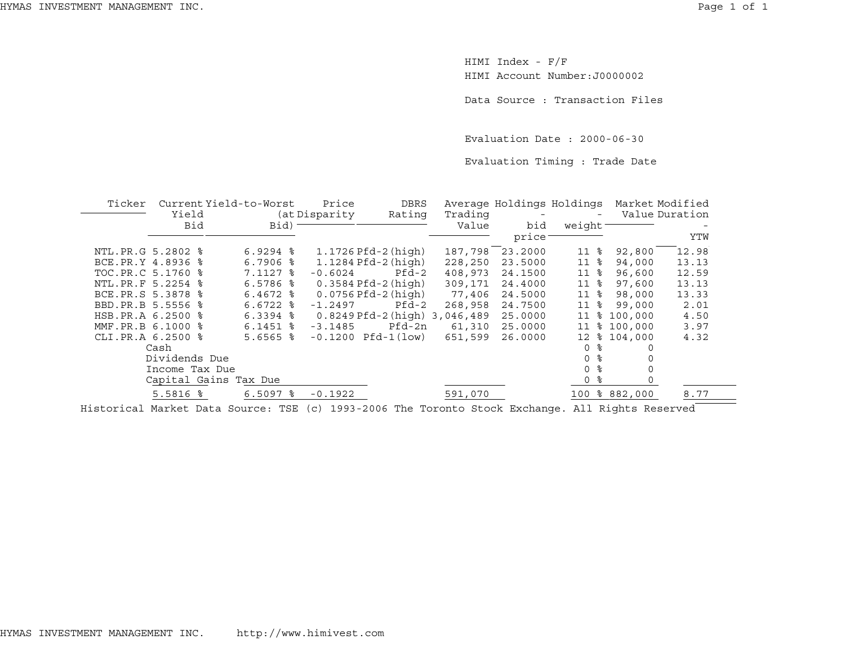HIMI Index - F/F HIMI Account Number:J0000002

Data Source : Transaction Files

Evaluation Date : 2000-06-30

Evaluation Timing : Trade Date

|            |                                                                                                                                                                                                               | Price                                                                              | <b>DBRS</b>   |                                                 |                                                                                                                          |                    | Market Modified |                                                                                             |
|------------|---------------------------------------------------------------------------------------------------------------------------------------------------------------------------------------------------------------|------------------------------------------------------------------------------------|---------------|-------------------------------------------------|--------------------------------------------------------------------------------------------------------------------------|--------------------|-----------------|---------------------------------------------------------------------------------------------|
| Yield      |                                                                                                                                                                                                               |                                                                                    |               |                                                 |                                                                                                                          |                    |                 | Value Duration                                                                              |
| Bid        | Bid)                                                                                                                                                                                                          |                                                                                    |               | Value                                           | bid                                                                                                                      |                    |                 |                                                                                             |
|            |                                                                                                                                                                                                               |                                                                                    |               |                                                 | price                                                                                                                    |                    |                 | YTW                                                                                         |
|            | $6.9294$ $\frac{8}{3}$                                                                                                                                                                                        |                                                                                    |               |                                                 | 23.2000                                                                                                                  | ႜ<br>11            | 92,800          | 12.98                                                                                       |
|            | $6.7906$ $8$                                                                                                                                                                                                  |                                                                                    |               | 228,250                                         | 23.5000                                                                                                                  | 11<br>⊱            | 94,000          | 13.13                                                                                       |
|            | 7.1127 %                                                                                                                                                                                                      | $-0.6024$                                                                          | $Pfd-2$       | 408,973                                         | 24.1500                                                                                                                  | 11<br>⊱            | 96,600          | 12.59                                                                                       |
|            | $6.5786$ $\frac{6}{5}$                                                                                                                                                                                        |                                                                                    |               | 309,171                                         | 24.4000                                                                                                                  | 11<br>ႜ            | 97,600          | 13.13                                                                                       |
|            | $6.4672$ $8$                                                                                                                                                                                                  |                                                                                    |               | 77,406                                          | 24.5000                                                                                                                  | 11<br>°≈           | 98,000          | 13.33                                                                                       |
|            | $6.6722$ $\frac{8}{3}$                                                                                                                                                                                        | $-1.2497$                                                                          | $Pfd-2$       | 268,958                                         | 24.7500                                                                                                                  | 11<br>ႜ            | 99,000          | 2.01                                                                                        |
|            | $6.3394$ $8$                                                                                                                                                                                                  |                                                                                    |               |                                                 | 25.0000                                                                                                                  | 11<br>ႜ            | 100,000         | 4.50                                                                                        |
|            | $6.1451$ %                                                                                                                                                                                                    | $-3.1485$                                                                          |               | 61,310                                          | 25.0000                                                                                                                  | 11                 |                 | 3.97                                                                                        |
|            | $5.6565$ $\frac{6}{3}$                                                                                                                                                                                        |                                                                                    |               | 651,599                                         | 26.0000                                                                                                                  | 12 <sup>°</sup>    |                 | 4.32                                                                                        |
|            |                                                                                                                                                                                                               |                                                                                    |               |                                                 |                                                                                                                          | ႜ<br>$\Omega$      |                 |                                                                                             |
|            |                                                                                                                                                                                                               |                                                                                    |               |                                                 |                                                                                                                          | ႜ<br>$\Omega$      |                 |                                                                                             |
|            |                                                                                                                                                                                                               |                                                                                    |               |                                                 |                                                                                                                          | ႜ<br>$\Omega$      |                 |                                                                                             |
|            |                                                                                                                                                                                                               |                                                                                    |               |                                                 |                                                                                                                          | ႜ<br>0             |                 |                                                                                             |
| $5.5816$ % | $6.5097$ $%$                                                                                                                                                                                                  | $-0.1922$                                                                          |               | 591,070                                         |                                                                                                                          |                    |                 | 8.77                                                                                        |
|            | Ticker<br>NTL.PR.G 5.2802 %<br>BCE.PR.Y 4.8936 %<br>TOC.PR.C 5.1760 %<br>NTL. PR. F 5.2254 %<br>BCE.PR.S 5.3878 %<br>BBD.PR.B 5.5556 %<br>HSB.PR.A 6.2500 %<br>MMF.PR.B 6.1000 %<br>CLI.PR.A 6.2500 %<br>Cash | Current Yield-to-Worst<br>Dividends Due<br>Income Tax Due<br>Capital Gains Tax Due | (at Disparity | 1.1726 Pfd-2 (high)<br>$-0.1200$ Pfd $-1$ (low) | Rating<br>1.1284 Pfd-2 (high)<br>0.3584 Pfd-2 (high)<br>$0.0756$ Pfd-2 (high)<br>0.8249 Pfd-2 (high) 3,046,489<br>Pfd-2n | Trading<br>187,798 |                 | Average Holdings Holdings<br>weight <sup>-</sup><br>\$100,000<br>\$104,000<br>100 % 882,000 |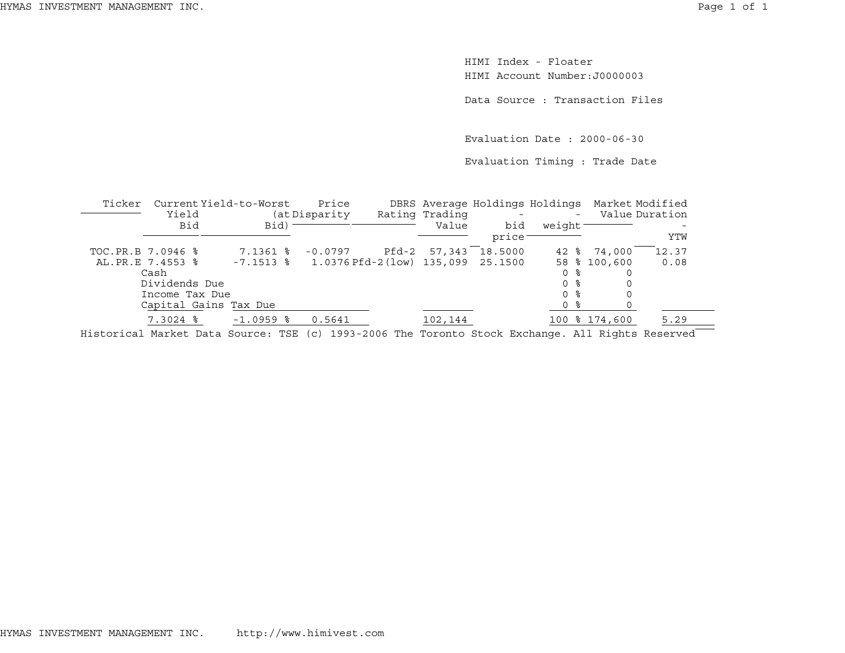HIMI Index - FloaterHIMI Account Number:J0000003

Data Source : Transaction Files

Evaluation Date : 2000-06-30

Evaluation Timing : Trade Date

| Ticker | Current Yield-to-Worst                                                                                 |                        | Price                                          |       |                |                    |         | DBRS Average Holdings Holdings Market Modified |                |
|--------|--------------------------------------------------------------------------------------------------------|------------------------|------------------------------------------------|-------|----------------|--------------------|---------|------------------------------------------------|----------------|
|        | Yield                                                                                                  |                        | (at Disparity                                  |       | Rating Trading |                    | $-$     |                                                | Value Duration |
|        | Bid                                                                                                    | $Bid$ ) –              |                                                |       | Value          | bid                | weight- |                                                |                |
|        |                                                                                                        |                        |                                                |       |                | price <sup>-</sup> |         |                                                | YTW            |
|        | TOC.PR.B 7.0946 %                                                                                      | $7.1361$ $\frac{6}{5}$ | $-0.0797$                                      | Pfd-2 | 57,343         | 18.5000            |         | 42 % 74,000                                    | 12.37          |
|        | AL.PR.E 7.4553 %                                                                                       |                        | $-7.1513$ % 1.0376 Pfd-2 (low) 135,099 25.1500 |       |                |                    |         | 58 % 100,600                                   | 0.08           |
|        | Cash                                                                                                   |                        |                                                |       |                |                    | 0 %     |                                                |                |
|        | Dividends Due                                                                                          |                        |                                                |       |                |                    | 0 %     |                                                |                |
|        | Income Tax Due                                                                                         |                        |                                                |       |                |                    | 0 %     |                                                |                |
|        | Capital Gains Tax Due                                                                                  |                        |                                                |       |                |                    | 0 %     |                                                |                |
|        | $7.3024$ $\frac{8}{5}$                                                                                 | $-1.0959$ %            | 0.5641                                         |       | 102,144        |                    |         | 100 % 174,600                                  | 5.29           |
|        | Historiael Mordest Dete Gourese, MGB (e) 1000 0000 Mbs Morgante Gtoel, Brahomes, 311 Disbts Descripted |                        |                                                |       |                |                    |         |                                                |                |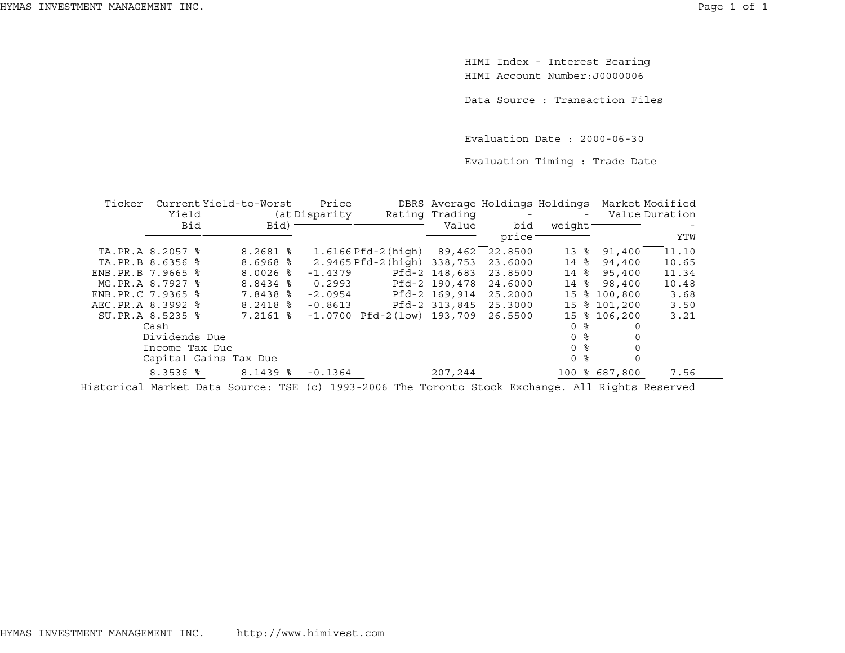HIMI Index - Interest Bearing HIMI Account Number:J0000006

Data Source : Transaction Files

Evaluation Date : 2000-06-30

Evaluation Timing : Trade Date

| Ticker              |                  | Current Yield-to-Worst | Price         |                             |                |                          |                     | DBRS Average Holdings Holdings Market Modified |                |
|---------------------|------------------|------------------------|---------------|-----------------------------|----------------|--------------------------|---------------------|------------------------------------------------|----------------|
|                     | Yield            |                        | (at Disparity |                             | Rating Trading | $\overline{\phantom{a}}$ | $-$                 |                                                | Value Duration |
|                     | Bid              | Bid)                   |               |                             | Value          | bid                      | weight <sup>-</sup> |                                                |                |
|                     |                  |                        |               |                             |                | price:                   |                     |                                                | YTW            |
|                     | TA.PR.A 8.2057 % | $8.2681$ %             |               | 1.6166 Pfd-2(hiqh)          | 89,462         | 22.8500                  | 13 %                | 91,400                                         | 11.10          |
|                     | TA.PR.B 8.6356 % | $8.6968$ $*$           |               | 2.9465 Pfd-2 (high) 338,753 |                | 23.6000                  | 14 %                | 94,400                                         | 10.65          |
| ENB. PR. B 7.9665 % |                  | $8.0026$ %             | $-1.4379$     |                             | Pfd-2 148,683  | 23.8500                  | 14 %                | 95,400                                         | 11.34          |
|                     | MG.PR.A 8.7927 % | $8.8434$ $\frac{8}{8}$ | 0.2993        |                             | Pfd-2 190,478  | 24.6000                  | 14 %                | 98,400                                         | 10.48          |
| ENB.PR.C 7.9365 %   |                  | 7.8438 %               | $-2.0954$     |                             | Pfd-2 169,914  | 25.2000                  |                     | 15 % 100,800                                   | 3.68           |
| AEC.PR.A 8.3992 %   |                  | $8.2418$ %             | $-0.8613$     |                             | Pfd-2 313,845  | 25.3000                  |                     | 15 % 101,200                                   | 3.50           |
|                     | SU.PR.A 8.5235 % | 7.2161 %               | $-1.0700$     | Pfd-2(low) 193,709          |                | 26.5500                  |                     | 15 % 106,200                                   | 3.21           |
|                     | Cash             |                        |               |                             |                |                          | 0 %                 |                                                |                |
|                     | Dividends Due    |                        |               |                             |                |                          | 0 <sup>8</sup>      |                                                |                |
|                     | Income Tax Due   |                        |               |                             |                |                          | 0 %                 |                                                |                |
|                     |                  | Capital Gains Tax Due  |               |                             |                |                          | 0 %                 |                                                |                |
|                     | $8.3536$ $8$     | $8.1439$ $8$           | $-0.1364$     |                             | 207,244        |                          |                     | 100 % 687,800                                  | 7.56           |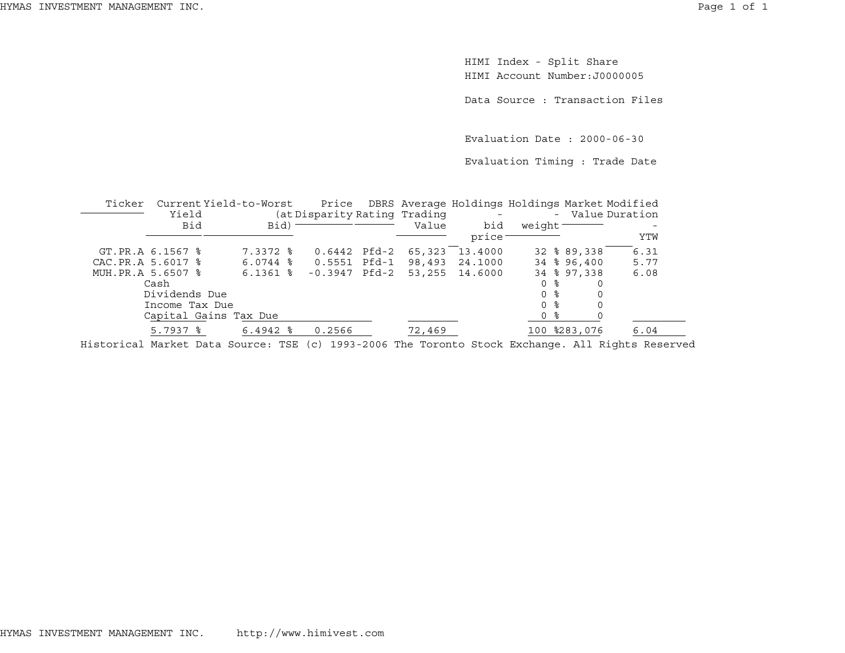HIMI Index - Split Share HIMI Account Number:J0000005

Data Source : Transaction Files

Evaluation Date : 2000-06-30

Evaluation Timing : Trade Date

| Ticker             |                        | Current Yield-to-Worst |                              |        |                    |                 |              | Price DBRS Average Holdings Holdings Market Modified |
|--------------------|------------------------|------------------------|------------------------------|--------|--------------------|-----------------|--------------|------------------------------------------------------|
|                    | Yield                  |                        | (at Disparity Rating Trading |        |                    |                 |              | - Value Duration                                     |
|                    | Bid                    | Bid)                   |                              | Value  | bid                | weight          |              |                                                      |
|                    |                        |                        |                              |        | price <sup>-</sup> |                 |              | YTW                                                  |
|                    | GT.PR.A 6.1567 %       | $7.3372$ $\frac{6}{5}$ | 0.6442 Pfd-2                 | 65,323 | 13,4000            |                 | 32 % 89,338  | 6.31                                                 |
| CAC. PR.A 5.6017 % |                        | $6.0744$ $\frac{8}{6}$ | $0.5551$ Pfd-1               | 98,493 | 24.1000            |                 | 34 % 96,400  | 5.77                                                 |
| MUH. PR.A 5.6507 % |                        | $6.1361$ %             | $-0.3947$ Pfd $-2$           |        | 53, 255 14.6000    |                 | 34 % 97, 338 | 6.08                                                 |
|                    | Cash                   |                        |                              |        |                    | ႜ<br>0          |              |                                                      |
|                    | Dividends Due          |                        |                              |        |                    | 0 <sup>8</sup>  |              |                                                      |
|                    | Income Tax Due         |                        |                              |        |                    | $\Omega$<br>- 옹 |              |                                                      |
|                    |                        | Capital Gains Tax Due  |                              |        |                    | ႜႂ<br>0         |              |                                                      |
|                    | $5.7937$ $\frac{6}{5}$ | $6.4942$ $\frac{6}{3}$ | 0.2566                       | 72,469 |                    |                 | 100 %283,076 | 6.04                                                 |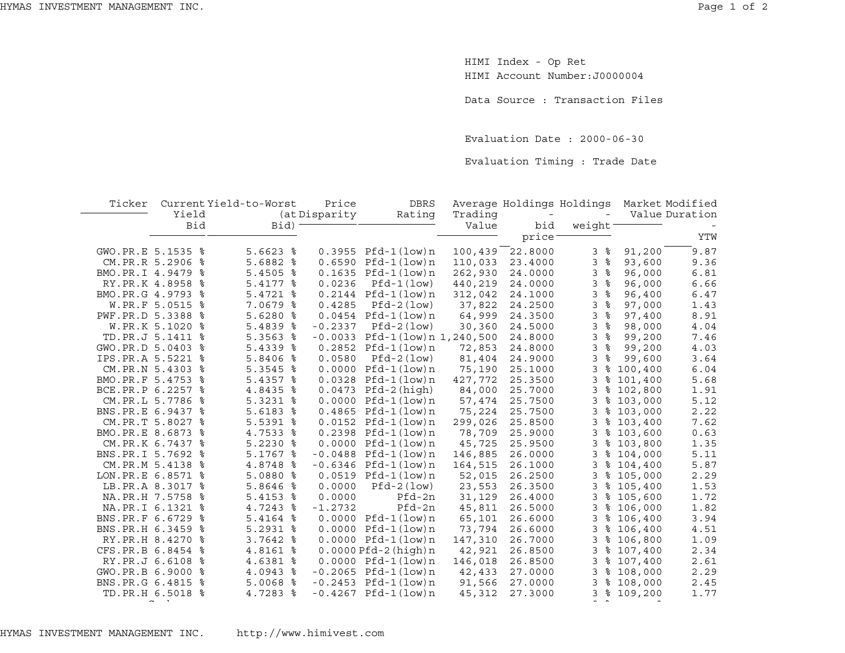HIMI Index - Op Ret HIMI Account Number:J0000004

Data Source : Transaction Files

Evaluation Date : 2000-06-30

Evaluation Timing : Trade Date

| Ticker              |                   | Current Yield-to-Worst | Price          | <b>DBRS</b>                     |         | Average Holdings Holdings |                     |             | Market Modified |
|---------------------|-------------------|------------------------|----------------|---------------------------------|---------|---------------------------|---------------------|-------------|-----------------|
|                     | Yield             |                        | (at Disparity) | Rating                          | Trading |                           |                     |             | Value Duration  |
|                     | Bid               | $Bid$ ) -              |                |                                 | Value   | bid                       | weight              |             |                 |
|                     |                   |                        |                |                                 |         | price <sup>-</sup>        |                     |             | YTW             |
| GWO.PR.E 5.1535 %   |                   | 5.6623 %               |                | $0.3955$ Pfd-1(low)n            | 100,439 | 22.8000                   | 3%                  | 91,200      | 9.87            |
|                     | CM.PR.R 5.2906 %  | $5.6882$ $%$           |                | $0.6590$ Pfd-1 $(low)$ n        | 110,033 | 23.4000                   | 3<br>န္             | 93,600      | 9.36            |
| BMO.PR.I 4.9479 %   |                   | $5.4505$ %             |                | $0.1635$ Pfd-1 $(low)$ n        | 262,930 | 24.0000                   | ್ಠಿ<br>$\mathbf{3}$ | 96,000      | 6.81            |
|                     | RY.PR.K 4.8958 %  | 5.4177 %               | 0.0236         | $Pfd-1 (low)$                   | 440,219 | 24.0000                   | 3%                  | 96,000      | 6.66            |
| BMO.PR.G 4.9793 %   |                   | 5.4721 %               |                | $0.2144$ Pfd-1(low)n            | 312,042 | 24.1000                   | 3%                  | 96,400      | 6.47            |
|                     | W.PR.F 5.0515 %   | 7.0679 %               | 0.4285         | $Pfd-2(low)$                    | 37,822  | 24.2500                   | 3%                  | 97,000      | 1.43            |
|                     | PWF.PR.D 5.3388 % | $5.6280$ %             |                | $0.0454$ Pfd-1 $(low)$ n        | 64,999  | 24.3500                   | $\frac{9}{6}$<br>3  | 97,400      | 8.91            |
|                     | W.PR.K 5.1020 %   | 5.4839 %               | $-0.2337$      | $Pfd-2 (low)$                   | 30,360  | 24.5000                   | $\frac{9}{6}$<br>3  | 98,000      | 4.04            |
|                     | TD.PR.J 5.1411 %  | $5.3563$ $8$           |                | $-0.0033$ Pfd-1(low)n 1,240,500 |         | 24.8000                   | ಿ<br>3              | 99,200      | 7.46            |
|                     | GWO.PR.D 5.0403 % | $5.4339$ $8$           |                | $0.2852$ Pfd-1 $(low)$ n        | 72,853  | 24.8000                   | 3<br>%              | 99,200      | 4.03            |
|                     | IPS.PR.A 5.5221 % | 5.8406 %               | 0.0580         | Pfd-2(low)                      | 81,404  | 24.9000                   | 3<br>နွ             | 99,600      | 3.64            |
|                     | CM.PR.N 5.4303 %  | $5.3545$ %             |                | $0.0000$ Pfd-1 $(low)$ n        | 75,190  | 25.1000                   | 3                   | \$100,400   | 6.04            |
| BMO.PR.F 5.4753 %   |                   | 5.4357 %               |                | $0.0328$ Pfd-1(low)n            | 427,772 | 25.3500                   | 3                   | \$101,400   | 5.68            |
| BCE.PR.P 6.2257 %   |                   | 4.8435 %               |                | $0.0473$ Pfd-2(high)            | 84,000  | 25.7000                   | 3                   | \$102,800   | 1.91            |
|                     | CM.PR.L 5.7786 %  | $5.3231$ $8$           |                | $0.0000$ $Pfd-1$ $(low)$ n      | 57,474  | 25.7500                   | 3                   | \$103,000   | 5.12            |
| BNS.PR.E 6.9437 %   |                   | $5.6183$ %             |                | $0.4865$ Pfd-1 $(low)$ n        | 75,224  | 25.7500                   | 3                   | \$103,000   | 2.22            |
|                     | CM.PR.T 5.8027 %  | 5.5391 %               |                | $0.0152$ Pfd-1 $(low)$ n        | 299,026 | 25.8500                   | 3                   | \$103,400   | 7.62            |
| BMO.PR.E 8.6873 %   |                   | 4.7533 %               |                | $0.2398$ Pfd-1(low)n            | 78,709  | 25.9000                   | 3                   | \$103,600   | 0.63            |
|                     | CM.PR.K 6.7437 %  | $5.2230$ $8$           |                | $0.0000$ $Pfd-1$ $(low)$ n      | 45,725  | 25.9500                   | 3                   | \$103,800   | 1.35            |
| BNS.PR.I 5.7692 %   |                   | $5.1767$ %             |                | $-0.0488$ Pfd $-1$ (low) n      | 146,885 | 26.0000                   | 3                   | \$104,000   | 5.11            |
|                     | CM.PR.M 5.4138 %  | 4.8748 %               |                | $-0.6346$ Pfd-1(low)n           | 164,515 | 26.1000                   | 3                   | \$104,400   | 5.87            |
| LON. PR. E 6.8571 % |                   | $5.0880$ %             |                | $0.0519$ Pfd-1(low)n            | 52,015  | 26.2500                   | 3                   | \$105,000   | 2.29            |
|                     | LB.PR.A 8.3017 %  | 5.8646 %               | 0.0000         | $Pfd-2 (low)$                   | 23,553  | 26.3500                   |                     | 3 % 105,400 | 1.53            |
|                     | NA.PR.H 7.5758 %  | $5.4153$ $%$           | 0.0000         | Pfd-2n                          | 31,129  | 26.4000                   | 3                   | \$105,600   | 1.72            |
|                     | NA.PR.I 6.1321 %  | $4.7243$ $\frac{8}{3}$ | $-1.2732$      | Pfd-2n                          | 45,811  | 26.5000                   | 3                   | \$106.000   | 1.82            |
| BNS.PR.F 6.6729 %   |                   | 5.4164 %               |                | $0.0000$ Pfd-1 $(low)$ n        | 65,101  | 26.6000                   | 3                   | \$106,400   | 3.94            |
| BNS.PR.H 6.3459 %   |                   | $5.2931$ %             |                | $0.0000$ Pfd-1 $(low)$ n        | 73,794  | 26.6000                   |                     | 3 % 106,400 | 4.51            |
|                     | RY.PR.H 8.4270 %  | $3.7642$ $%$           |                | $0.0000$ Pfd-1(low)n            | 147,310 | 26.7000                   |                     | 3 % 106,800 | 1.09            |
| CFS.PR.B 6.8454 %   |                   | 4.8161 %               |                | $0.0000Pfd-2(hiqh)n$            | 42,921  | 26.8500                   | 3                   | \$107,400   | 2.34            |
|                     | RY.PR.J 6.6108 %  | 4.6381 %               |                | $0.0000$ Pfd-1 $(low)$ n        | 146,018 | 26.8500                   | 3                   | \$107,400   | 2.61            |
| GWO.PR.B 6.9000 %   |                   | 4.0943 %               |                | $-0.2065$ Pfd $-1$ (low)n       | 42,433  | 27.0000                   | 3                   | \$108,000   | 2.29            |
| BNS.PR.G 6.4815 %   |                   | $5.0068$ %             |                | $-0.2453$ Pfd-1(low)n           | 91,566  | 27.0000                   | 3                   | \$108,000   | 2.45            |
|                     | TD.PR.H 6.5018 %  | 4.7283 %               |                | $-0.4267$ Pfd $-1$ (low)n       | 45,312  | 27.3000                   |                     | 3 % 109,200 | 1.77            |
|                     |                   |                        |                |                                 |         |                           |                     |             |                 |

0 % 0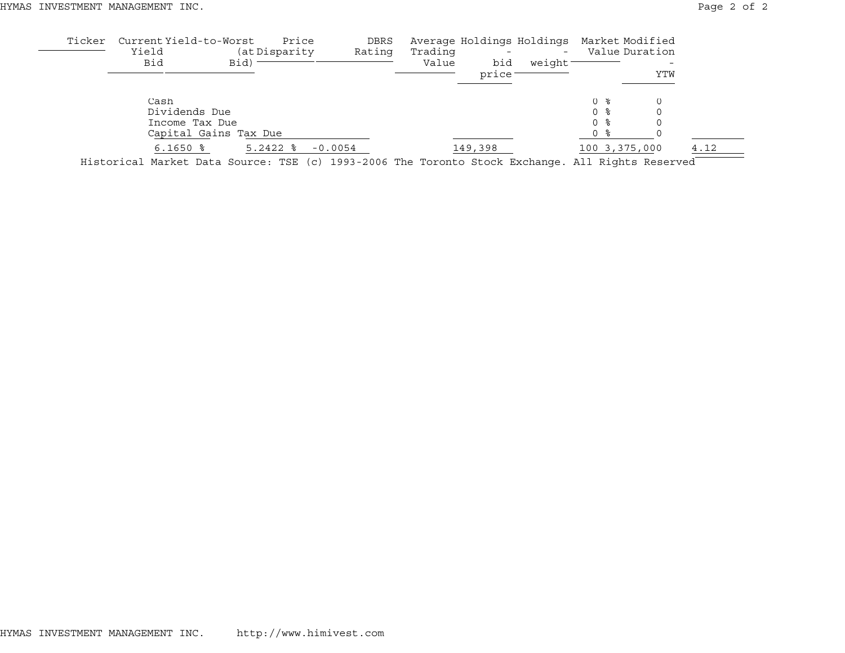| Average Holdings Holdings Market Modified |
|-------------------------------------------|
| Value Duration                            |
|                                           |
| YTW                                       |
|                                           |
|                                           |
|                                           |
|                                           |
| 4.12<br>100 3,375,000                     |
|                                           |